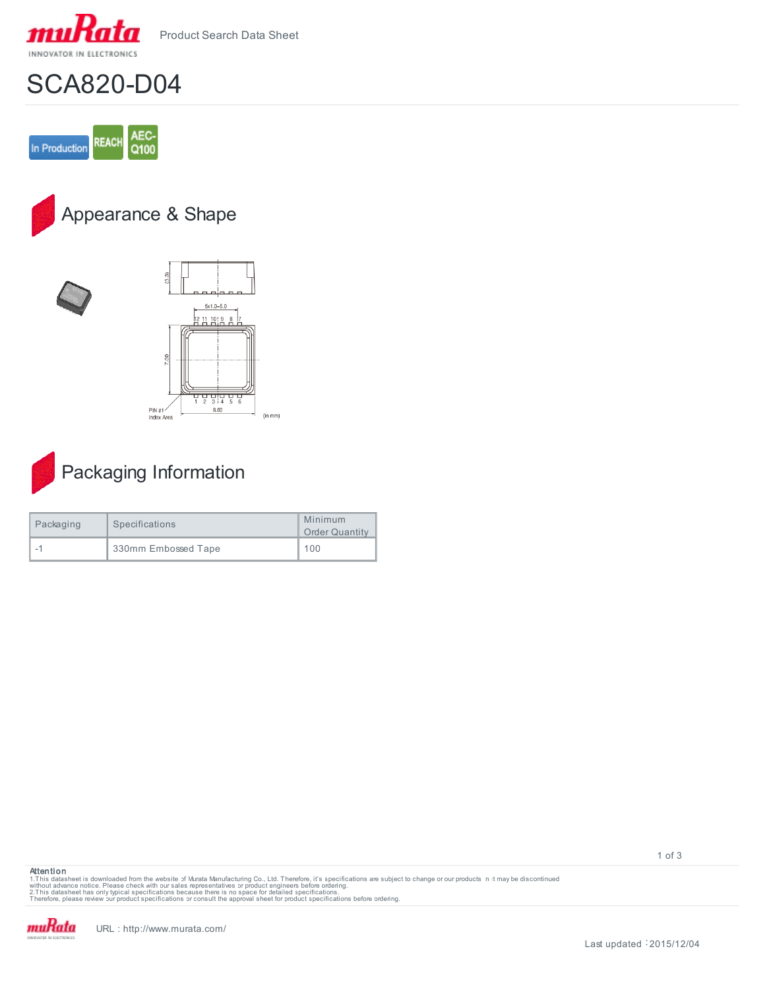



## SCA820-D04



Appearance & Shape





| Packaging | Specifications      | Minimum<br><b>Order Quantity</b> |
|-----------|---------------------|----------------------------------|
|           | 330mm Embossed Tape | 100                              |

## **Attention**

1.This datasheet is downloaded from the website of Murata Manufacturing Co., Ltd. Therefore, it's specifications are subject to change or our products in it may be discontinued<br>without advaneet has only typical specificati